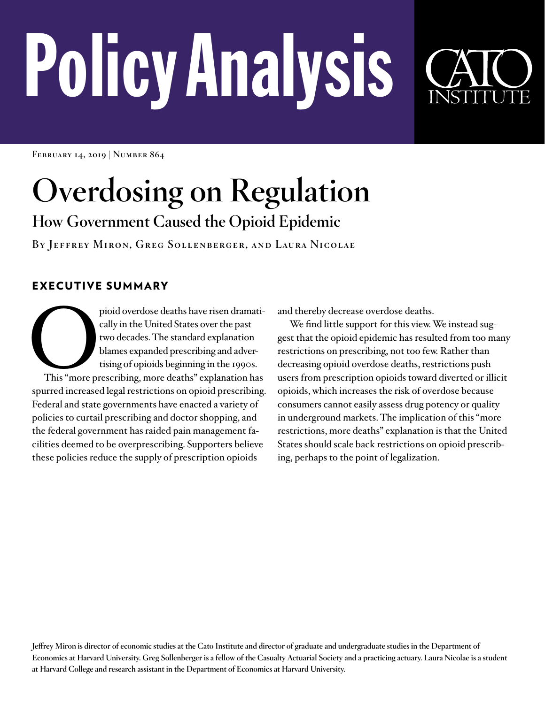# PolicyAnalysis

**February 14, 2019 | Number 864**

## **Overdosing on Regulation**

### **How Government Caused the Opioid Epidemic**

**By Jeffrey Miron, Greg Sollenberger, and Laura Nicolae**

#### EXECUTIVE SUMMARY

pioid overdose deaths have risen dramatically in the United States over the past two decades. The standard explanation blames expanded prescribing and advertising of opioids beginning in the 1990s. This "more prescribing, cally in the United States over the past two decades. The standard explanation blames expanded prescribing and advertising of opioids beginning in the 1990s. spurred increased legal restrictions on opioid prescribing. Federal and state governments have enacted a variety of policies to curtail prescribing and doctor shopping, and the federal government has raided pain management facilities deemed to be overprescribing. Supporters believe these policies reduce the supply of prescription opioids

and thereby decrease overdose deaths.

We find little support for this view. We instead suggest that the opioid epidemic has resulted from too many restrictions on prescribing, not too few. Rather than decreasing opioid overdose deaths, restrictions push users from prescription opioids toward diverted or illicit opioids, which increases the risk of overdose because consumers cannot easily assess drug potency or quality in underground markets. The implication of this "more restrictions, more deaths" explanation is that the United States should scale back restrictions on opioid prescribing, perhaps to the point of legalization.

**Jeffrey Miron is director of economic studies at the Cato Institute and director of graduate and undergraduate studies in the Department of Economics at Harvard University. Greg Sollenberger is a fellow of the Casualty Actuarial Society and a practicing actuary. Laura Nicolae is a student at Harvard College and research assistant in the Department of Economics at Harvard University.**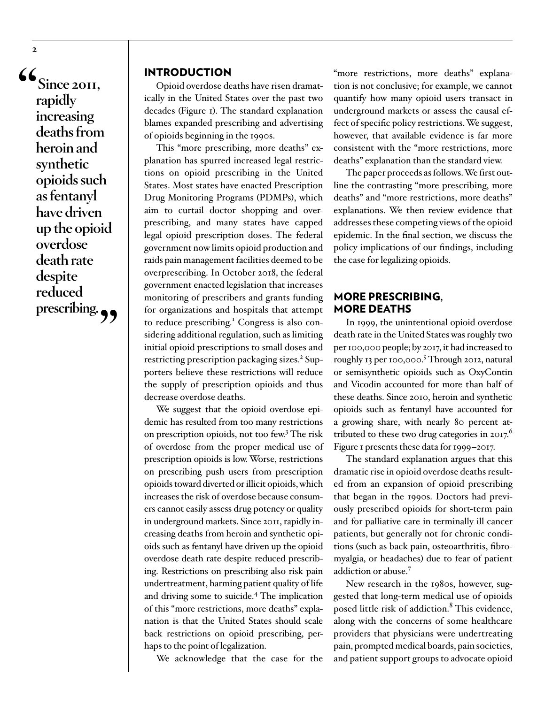**"Since 2011, rapidly increasing deaths from heroin and synthetic opioids such as fentanyl have driven up the opioid overdose death rate despite reduced**  prescribing.

#### INTRODUCTION

Opioid overdose deaths have risen dramatically in the United States over the past two decades (Figure 1). The standard explanation blames expanded prescribing and advertising of opioids beginning in the 1990s.

This "more prescribing, more deaths" explanation has spurred increased legal restrictions on opioid prescribing in the United States. Most states have enacted Prescription Drug Monitoring Programs (PDMPs), which aim to curtail doctor shopping and overprescribing, and many states have capped legal opioid prescription doses. The federal government now limits opioid production and raids pain management facilities deemed to be overprescribing. In October 2018, the federal government enacted legislation that increases monitoring of prescribers and grants funding for organizations and hospitals that attempt to reduce prescribing.<sup>1</sup> Congress is also considering additional regulation, such as limiting initial opioid prescriptions to small doses and restricting prescription packaging sizes.<sup>2</sup> Supporters believe these restrictions will reduce the supply of prescription opioids and thus decrease overdose deaths.

We suggest that the opioid overdose epidemic has resulted from too many restrictions on prescription opioids, not too few.<sup>3</sup> The risk of overdose from the proper medical use of prescription opioids is low. Worse, restrictions on prescribing push users from prescription opioids toward diverted or illicit opioids, which increases the risk of overdose because consumers cannot easily assess drug potency or quality in underground markets. Since 2011, rapidly increasing deaths from heroin and synthetic opioids such as fentanyl have driven up the opioid overdose death rate despite reduced prescribing. Restrictions on prescribing also risk pain undertreatment, harming patient quality of life and driving some to suicide.4 The implication of this "more restrictions, more deaths" explanation is that the United States should scale back restrictions on opioid prescribing, perhaps to the point of legalization.

We acknowledge that the case for the

"more restrictions, more deaths" explanation is not conclusive; for example, we cannot quantify how many opioid users transact in underground markets or assess the causal effect of specific policy restrictions. We suggest, however, that available evidence is far more consistent with the "more restrictions, more deaths" explanation than the standard view.

The paper proceeds as follows. We first outline the contrasting "more prescribing, more deaths" and "more restrictions, more deaths" explanations. We then review evidence that addresses these competing views of the opioid epidemic. In the final section, we discuss the policy implications of our findings, including the case for legalizing opioids.

#### MORE PRESCRIBING, MORE DEATHS

In 1999, the unintentional opioid overdose death rate in the United States was roughly two per 100,000 people; by 2017, it had increased to roughly 13 per 100,000.<sup>5</sup> Through 2012, natural or semisynthetic opioids such as OxyContin and Vicodin accounted for more than half of these deaths. Since 2010, heroin and synthetic opioids such as fentanyl have accounted for a growing share, with nearly 80 percent attributed to these two drug categories in  $2017$ .<sup>6</sup> Figure 1 presents these data for 1999–2017.

The standard explanation argues that this dramatic rise in opioid overdose deaths resulted from an expansion of opioid prescribing that began in the 1990s. Doctors had previously prescribed opioids for short-term pain and for palliative care in terminally ill cancer patients, but generally not for chronic conditions (such as back pain, osteoarthritis, fibromyalgia, or headaches) due to fear of patient addiction or abuse.7

New research in the 1980s, however, suggested that long-term medical use of opioids posed little risk of addiction.<sup>8</sup> This evidence, along with the concerns of some healthcare providers that physicians were undertreating pain, prompted medical boards, pain societies, and patient support groups to advocate opioid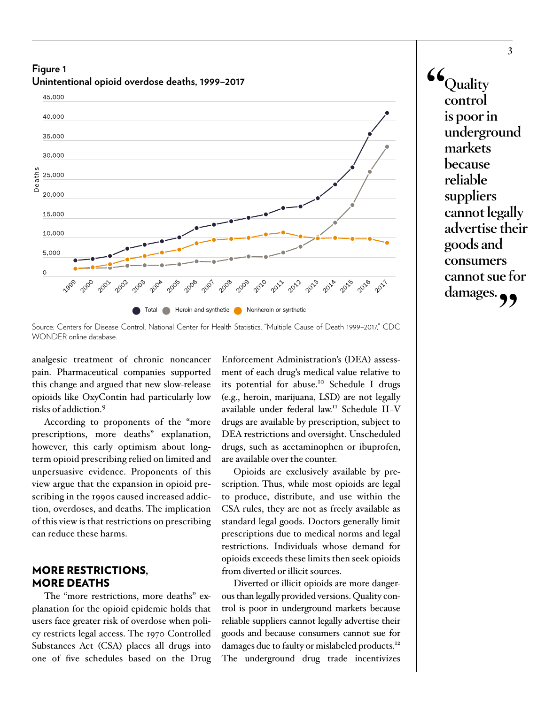**Figure 1 Unintentional opioid overdose deaths, 1999–2017**



**"Quality control is poor in underground markets because reliable suppliers cannot legally advertise their goods and consumers cannot sue for damages."**

Source: Centers for Disease Control, National Center for Health Statistics, "Multiple Cause of Death 1999–2017," CDC WONDER online database.

analgesic treatment of chronic noncancer pain. Pharmaceutical companies supported this change and argued that new slow-release opioids like OxyContin had particularly low risks of addiction.9

According to proponents of the "more prescriptions, more deaths" explanation, however, this early optimism about longterm opioid prescribing relied on limited and unpersuasive evidence. Proponents of this view argue that the expansion in opioid prescribing in the 1990s caused increased addiction, overdoses, and deaths. The implication of this view is that restrictions on prescribing can reduce these harms.

#### MORE RESTRICTIONS, MORE DEATHS

The "more restrictions, more deaths" explanation for the opioid epidemic holds that users face greater risk of overdose when policy restricts legal access. The 1970 Controlled Substances Act (CSA) places all drugs into one of five schedules based on the Drug

Enforcement Administration's (DEA) assessment of each drug's medical value relative to its potential for abuse.<sup>10</sup> Schedule I drugs (e.g., heroin, marijuana, LSD) are not legally available under federal law.11 Schedule II–V drugs are available by prescription, subject to DEA restrictions and oversight. Unscheduled drugs, such as acetaminophen or ibuprofen, are available over the counter.

Opioids are exclusively available by prescription. Thus, while most opioids are legal to produce, distribute, and use within the CSA rules, they are not as freely available as standard legal goods. Doctors generally limit prescriptions due to medical norms and legal restrictions. Individuals whose demand for opioids exceeds these limits then seek opioids from diverted or illicit sources.

Diverted or illicit opioids are more dangerous than legally provided versions. Quality control is poor in underground markets because reliable suppliers cannot legally advertise their goods and because consumers cannot sue for damages due to faulty or mislabeled products.<sup>12</sup> The underground drug trade incentivizes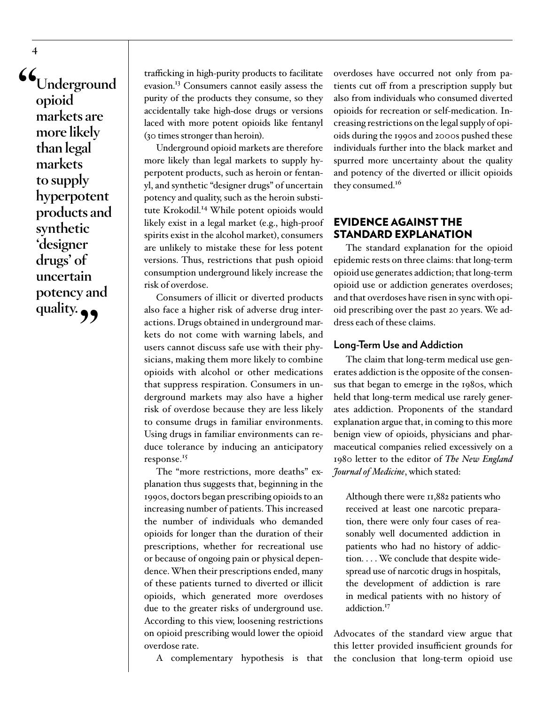**"Underground opioid markets are more likely than legal markets to supply hyperpotent products and synthetic 'designer drugs' of uncertain potency and**  quality. **99** 

trafficking in high-purity products to facilitate evasion.<sup>13</sup> Consumers cannot easily assess the purity of the products they consume, so they accidentally take high-dose drugs or versions laced with more potent opioids like fentanyl (30 times stronger than heroin).

Underground opioid markets are therefore more likely than legal markets to supply hyperpotent products, such as heroin or fentanyl, and synthetic "designer drugs" of uncertain potency and quality, such as the heroin substitute Krokodil.<sup>14</sup> While potent opioids would likely exist in a legal market (e.g., high-proof spirits exist in the alcohol market), consumers are unlikely to mistake these for less potent versions. Thus, restrictions that push opioid consumption underground likely increase the risk of overdose.

Consumers of illicit or diverted products also face a higher risk of adverse drug interactions. Drugs obtained in underground markets do not come with warning labels, and users cannot discuss safe use with their physicians, making them more likely to combine opioids with alcohol or other medications that suppress respiration. Consumers in underground markets may also have a higher risk of overdose because they are less likely to consume drugs in familiar environments. Using drugs in familiar environments can reduce tolerance by inducing an anticipatory response.<sup>15</sup>

The "more restrictions, more deaths" explanation thus suggests that, beginning in the 1990s, doctors began prescribing opioids to an increasing number of patients. This increased the number of individuals who demanded opioids for longer than the duration of their prescriptions, whether for recreational use or because of ongoing pain or physical dependence. When their prescriptions ended, many of these patients turned to diverted or illicit opioids, which generated more overdoses due to the greater risks of underground use. According to this view, loosening restrictions on opioid prescribing would lower the opioid overdose rate.

A complementary hypothesis is that

overdoses have occurred not only from patients cut off from a prescription supply but also from individuals who consumed diverted opioids for recreation or self-medication. Increasing restrictions on the legal supply of opioids during the 1990s and 2000s pushed these individuals further into the black market and spurred more uncertainty about the quality and potency of the diverted or illicit opioids they consumed.<sup>16</sup>

#### EVIDENCE AGAINST THE STANDARD EXPLANATION

The standard explanation for the opioid epidemic rests on three claims: that long-term opioid use generates addiction; that long-term opioid use or addiction generates overdoses; and that overdoses have risen in sync with opioid prescribing over the past 20 years. We address each of these claims.

#### **Long-Term Use and Addiction**

The claim that long-term medical use generates addiction is the opposite of the consensus that began to emerge in the 1980s, which held that long-term medical use rarely generates addiction. Proponents of the standard explanation argue that, in coming to this more benign view of opioids, physicians and pharmaceutical companies relied excessively on a 1980 letter to the editor of *The New England Journal of Medicine*, which stated:

Although there were 11,882 patients who received at least one narcotic preparation, there were only four cases of reasonably well documented addiction in patients who had no history of addiction. . . . We conclude that despite widespread use of narcotic drugs in hospitals, the development of addiction is rare in medical patients with no history of addiction<sup>17</sup>

Advocates of the standard view argue that this letter provided insufficient grounds for the conclusion that long-term opioid use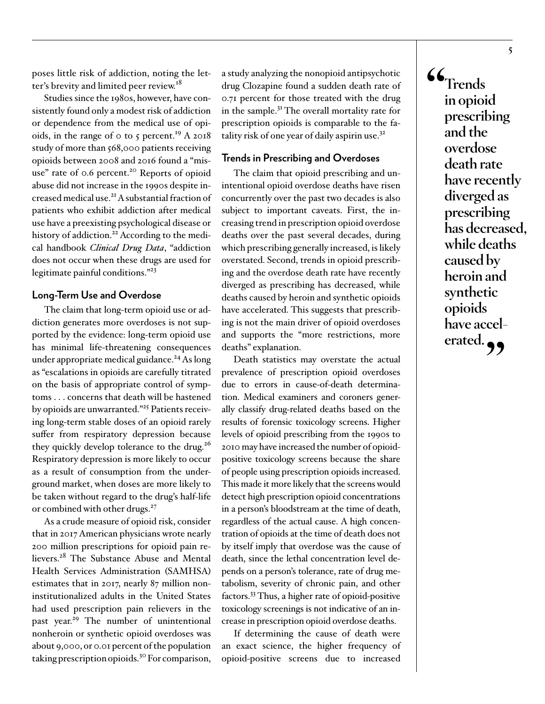poses little risk of addiction, noting the letter's brevity and limited peer review.<sup>18</sup>

Studies since the 1980s, however, have consistently found only a modest risk of addiction or dependence from the medical use of opioids, in the range of  $\circ$  to 5 percent.<sup>19</sup> A 2018 study of more than 568,000 patients receiving opioids between 2008 and 2016 found a "misuse" rate of 0.6 percent.<sup>20</sup> Reports of opioid abuse did not increase in the 1990s despite increased medical use.21 A substantial fraction of patients who exhibit addiction after medical use have a preexisting psychological disease or history of addiction.<sup>22</sup> According to the medical handbook *Clinical Drug Data*, "addiction does not occur when these drugs are used for legitimate painful conditions."23

#### **Long-Term Use and Overdose**

The claim that long-term opioid use or addiction generates more overdoses is not supported by the evidence: long-term opioid use has minimal life-threatening consequences under appropriate medical guidance.<sup>24</sup> As long as "escalations in opioids are carefully titrated on the basis of appropriate control of symptoms . . . concerns that death will be hastened by opioids are unwarranted."<sup>25</sup> Patients receiving long-term stable doses of an opioid rarely suffer from respiratory depression because they quickly develop tolerance to the drug.<sup>26</sup> Respiratory depression is more likely to occur as a result of consumption from the underground market, when doses are more likely to be taken without regard to the drug's half-life or combined with other drugs.<sup>27</sup>

As a crude measure of opioid risk, consider that in 2017 American physicians wrote nearly 200 million prescriptions for opioid pain relievers.<sup>28</sup> The Substance Abuse and Mental Health Services Administration (SAMHSA) estimates that in 2017, nearly 87 million noninstitutionalized adults in the United States had used prescription pain relievers in the past year.<sup>29</sup> The number of unintentional nonheroin or synthetic opioid overdoses was about 9,000, or 0.01 percent of the population taking prescription opioids.30 For comparison,

a study analyzing the nonopioid antipsychotic drug Clozapine found a sudden death rate of 0.71 percent for those treated with the drug in the sample.31 The overall mortality rate for prescription opioids is comparable to the fatality risk of one year of daily aspirin use.32

#### **Trends in Prescribing and Overdoses**

The claim that opioid prescribing and unintentional opioid overdose deaths have risen concurrently over the past two decades is also subject to important caveats. First, the increasing trend in prescription opioid overdose deaths over the past several decades, during which prescribing generally increased, is likely overstated. Second, trends in opioid prescribing and the overdose death rate have recently diverged as prescribing has decreased, while deaths caused by heroin and synthetic opioids have accelerated. This suggests that prescribing is not the main driver of opioid overdoses and supports the "more restrictions, more deaths" explanation.

Death statistics may overstate the actual prevalence of prescription opioid overdoses due to errors in cause-of-death determination. Medical examiners and coroners generally classify drug-related deaths based on the results of forensic toxicology screens. Higher levels of opioid prescribing from the 1990s to 2010 may have increased the number of opioidpositive toxicology screens because the share of people using prescription opioids increased. This made it more likely that the screens would detect high prescription opioid concentrations in a person's bloodstream at the time of death, regardless of the actual cause. A high concentration of opioids at the time of death does not by itself imply that overdose was the cause of death, since the lethal concentration level depends on a person's tolerance, rate of drug metabolism, severity of chronic pain, and other factors.33 Thus, a higher rate of opioid-positive toxicology screenings is not indicative of an increase in prescription opioid overdose deaths.

If determining the cause of death were an exact science, the higher frequency of opioid-positive screens due to increased

**"Trends in opioid prescribing and the overdose death rate have recently diverged as prescribing has decreased, while deaths caused by heroin and synthetic opioids have accel**erated.<sub>?</sub>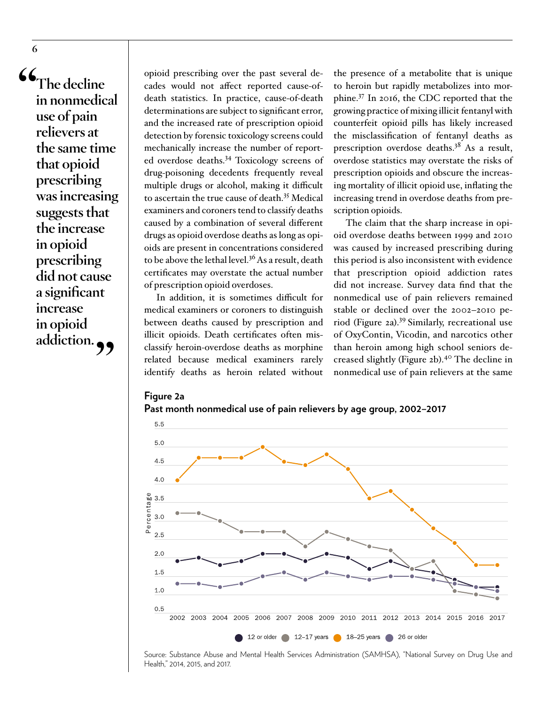**"The decline in nonmedical use of pain relievers at the same time that opioid prescribing was increasing suggests that the increase in opioid prescribing did not cause a significant increase in opioid addiction."**

opioid prescribing over the past several decades would not affect reported cause-ofdeath statistics. In practice, cause-of-death determinations are subject to significant error, and the increased rate of prescription opioid detection by forensic toxicology screens could mechanically increase the number of reported overdose deaths.34 Toxicology screens of drug-poisoning decedents frequently reveal multiple drugs or alcohol, making it difficult to ascertain the true cause of death.35 Medical examiners and coroners tend to classify deaths caused by a combination of several different drugs as opioid overdose deaths as long as opioids are present in concentrations considered to be above the lethal level.<sup>36</sup> As a result, death certificates may overstate the actual number of prescription opioid overdoses.

In addition, it is sometimes difficult for medical examiners or coroners to distinguish between deaths caused by prescription and illicit opioids. Death certificates often misclassify heroin-overdose deaths as morphine related because medical examiners rarely identify deaths as heroin related without

the presence of a metabolite that is unique to heroin but rapidly metabolizes into morphine.37 In 2016, the CDC reported that the growing practice of mixing illicit fentanyl with counterfeit opioid pills has likely increased the misclassification of fentanyl deaths as prescription overdose deaths.<sup>38</sup> As a result, overdose statistics may overstate the risks of prescription opioids and obscure the increasing mortality of illicit opioid use, inflating the increasing trend in overdose deaths from prescription opioids.

The claim that the sharp increase in opioid overdose deaths between 1999 and 2010 was caused by increased prescribing during this period is also inconsistent with evidence that prescription opioid addiction rates did not increase. Survey data find that the nonmedical use of pain relievers remained stable or declined over the 2002–2010 period (Figure 2a).<sup>39</sup> Similarly, recreational use of OxyContin, Vicodin, and narcotics other than heroin among high school seniors decreased slightly (Figure 2b).40 The decline in nonmedical use of pain relievers at the same

#### **Figure 2a**





Source: Substance Abuse and Mental Health Services Administration (SAMHSA), "National Survey on Drug Use and Health," 2014, 2015, and 2017.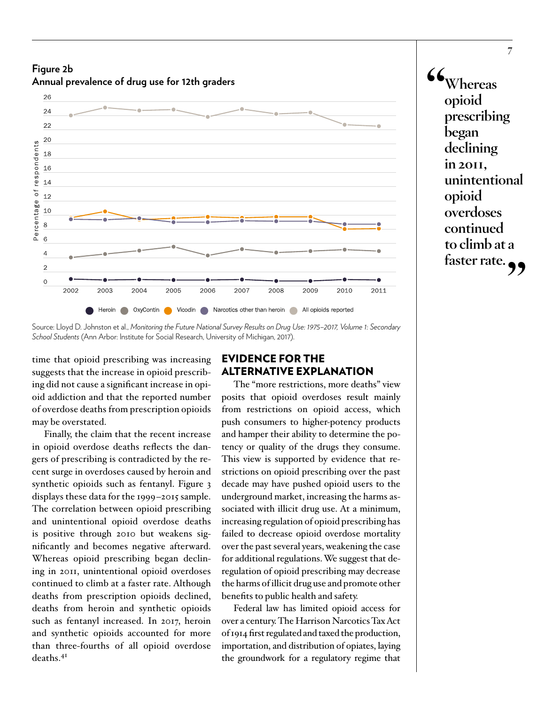**Figure 2b Annual prevalence of drug use for 12th graders**



**<sup>&</sup>quot;Whereas opioid prescribing began declining in 2011, unintentional opioid overdoses continued to climb at a**  faster rate.

time that opioid prescribing was increasing suggests that the increase in opioid prescribing did not cause a significant increase in opioid addiction and that the reported number of overdose deaths from prescription opioids may be overstated.

Finally, the claim that the recent increase in opioid overdose deaths reflects the dangers of prescribing is contradicted by the recent surge in overdoses caused by heroin and synthetic opioids such as fentanyl. Figure 3 displays these data for the 1999–2015 sample. The correlation between opioid prescribing and unintentional opioid overdose deaths is positive through 2010 but weakens significantly and becomes negative afterward. Whereas opioid prescribing began declining in 2011, unintentional opioid overdoses continued to climb at a faster rate. Although deaths from prescription opioids declined, deaths from heroin and synthetic opioids such as fentanyl increased. In 2017, heroin and synthetic opioids accounted for more than three-fourths of all opioid overdose deaths.<sup>41</sup>

#### EVIDENCE FOR THE ALTERNATIVE EXPLANATION

The "more restrictions, more deaths" view posits that opioid overdoses result mainly from restrictions on opioid access, which push consumers to higher-potency products and hamper their ability to determine the potency or quality of the drugs they consume. This view is supported by evidence that restrictions on opioid prescribing over the past decade may have pushed opioid users to the underground market, increasing the harms associated with illicit drug use. At a minimum, increasing regulation of opioid prescribing has failed to decrease opioid overdose mortality over the past several years, weakening the case for additional regulations. We suggest that deregulation of opioid prescribing may decrease the harms of illicit drug use and promote other benefits to public health and safety.

Federal law has limited opioid access for over a century. The Harrison Narcotics Tax Act of 1914 first regulated and taxed the production, importation, and distribution of opiates, laying the groundwork for a regulatory regime that

Source: Lloyd D. Johnston et al., *Monitoring the Future National Survey Results on Drug Use: 1975–2017, Volume 1: Secondary School Students* (Ann Arbor: Institute for Social Research, University of Michigan, 2017).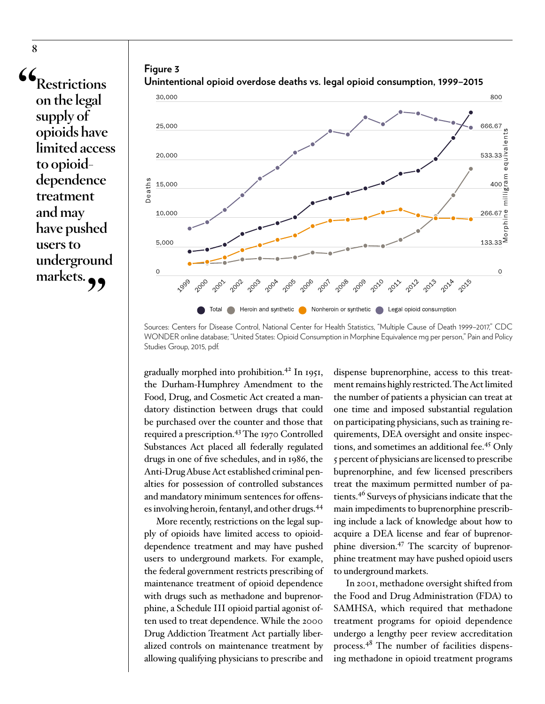**"Restrictions on the legal supply of opioids have limited access to opioiddependence treatment and may have pushed users to underground**  markets.





**Unintentional opioid overdose deaths vs. legal opioid consumption, 1999–2015**

Sources: Centers for Disease Control, National Center for Health Statistics, "Multiple Cause of Death 1999–2017," CDC WONDER online database; "United States: Opioid Consumption in Morphine Equivalence mg per person," Pain and Policy Studies Group, 2015, pdf.

gradually morphed into prohibition.42 In 1951, the Durham-Humphrey Amendment to the Food, Drug, and Cosmetic Act created a mandatory distinction between drugs that could be purchased over the counter and those that required a prescription.<sup>43</sup> The 1970 Controlled Substances Act placed all federally regulated drugs in one of five schedules, and in 1986, the Anti-Drug Abuse Act established criminal penalties for possession of controlled substances and mandatory minimum sentences for offenses involving heroin, fentanyl, and other drugs.44

More recently, restrictions on the legal supply of opioids have limited access to opioiddependence treatment and may have pushed users to underground markets. For example, the federal government restricts prescribing of maintenance treatment of opioid dependence with drugs such as methadone and buprenorphine, a Schedule III opioid partial agonist often used to treat dependence. While the 2000 Drug Addiction Treatment Act partially liberalized controls on maintenance treatment by allowing qualifying physicians to prescribe and

dispense buprenorphine, access to this treatment remains highly restricted. The Act limited the number of patients a physician can treat at one time and imposed substantial regulation on participating physicians, such as training requirements, DEA oversight and onsite inspections, and sometimes an additional fee.45 Only 5 percent of physicians are licensed to prescribe buprenorphine, and few licensed prescribers treat the maximum permitted number of patients.46 Surveys of physicians indicate that the main impediments to buprenorphine prescribing include a lack of knowledge about how to acquire a DEA license and fear of buprenorphine diversion.47 The scarcity of buprenorphine treatment may have pushed opioid users to underground markets.

In 2001, methadone oversight shifted from the Food and Drug Administration (FDA) to SAMHSA, which required that methadone treatment programs for opioid dependence undergo a lengthy peer review accreditation process.48 The number of facilities dispensing methadone in opioid treatment programs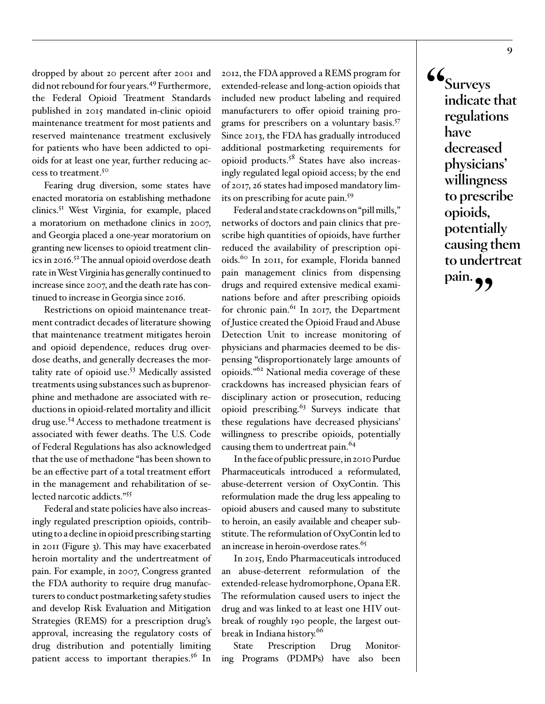dropped by about 20 percent after 2001 and did not rebound for four years.<sup>49</sup> Furthermore, the Federal Opioid Treatment Standards published in 2015 mandated in-clinic opioid maintenance treatment for most patients and reserved maintenance treatment exclusively for patients who have been addicted to opioids for at least one year, further reducing access to treatment.50

Fearing drug diversion, some states have enacted moratoria on establishing methadone clinics.51 West Virginia, for example, placed a moratorium on methadone clinics in 2007, and Georgia placed a one-year moratorium on granting new licenses to opioid treatment clinics in 2016.52 The annual opioid overdose death rate in West Virginia has generally continued to increase since 2007, and the death rate has continued to increase in Georgia since 2016.

Restrictions on opioid maintenance treatment contradict decades of literature showing that maintenance treatment mitigates heroin and opioid dependence, reduces drug overdose deaths, and generally decreases the mortality rate of opioid use.53 Medically assisted treatments using substances such as buprenorphine and methadone are associated with reductions in opioid-related mortality and illicit drug use.54 Access to methadone treatment is associated with fewer deaths. The U.S. Code of Federal Regulations has also acknowledged that the use of methadone "has been shown to be an effective part of a total treatment effort in the management and rehabilitation of selected narcotic addicts."55

Federal and state policies have also increasingly regulated prescription opioids, contributing to a decline in opioid prescribing starting in 2011 (Figure 3). This may have exacerbated heroin mortality and the undertreatment of pain. For example, in 2007, Congress granted the FDA authority to require drug manufacturers to conduct postmarketing safety studies and develop Risk Evaluation and Mitigation Strategies (REMS) for a prescription drug's approval, increasing the regulatory costs of drug distribution and potentially limiting patient access to important therapies.<sup>56</sup> In

2012, the FDA approved a REMS program for extended-release and long-action opioids that included new product labeling and required manufacturers to offer opioid training programs for prescribers on a voluntary basis.<sup>57</sup> Since 2013, the FDA has gradually introduced additional postmarketing requirements for opioid products.<sup>58</sup> States have also increasingly regulated legal opioid access; by the end of 2017, 26 states had imposed mandatory limits on prescribing for acute pain.59

Federal and state crackdowns on "pill mills," networks of doctors and pain clinics that prescribe high quantities of opioids, have further reduced the availability of prescription opioids.60 In 2011, for example, Florida banned pain management clinics from dispensing drugs and required extensive medical examinations before and after prescribing opioids for chronic pain. $^{61}$  In 2017, the Department of Justice created the Opioid Fraud and Abuse Detection Unit to increase monitoring of physicians and pharmacies deemed to be dispensing "disproportionately large amounts of opioids."62 National media coverage of these crackdowns has increased physician fears of disciplinary action or prosecution, reducing opioid prescribing.<sup>63</sup> Surveys indicate that these regulations have decreased physicians' willingness to prescribe opioids, potentially causing them to undertreat pain.<sup>64</sup>

In the face of public pressure, in 2010 Purdue Pharmaceuticals introduced a reformulated, abuse-deterrent version of OxyContin. This reformulation made the drug less appealing to opioid abusers and caused many to substitute to heroin, an easily available and cheaper substitute. The reformulation of OxyContin led to an increase in heroin-overdose rates.<sup>65</sup>

In 2015, Endo Pharmaceuticals introduced an abuse-deterrent reformulation of the extended-release hydromorphone, Opana ER. The reformulation caused users to inject the drug and was linked to at least one HIV outbreak of roughly 190 people, the largest outbreak in Indiana history.<sup>66</sup>

State Prescription Drug Monitoring Programs (PDMPs) have also been **"Surveys indicate that regulations have decreased physicians' willingness to prescribe opioids, potentially causing them to undertreat**  pain.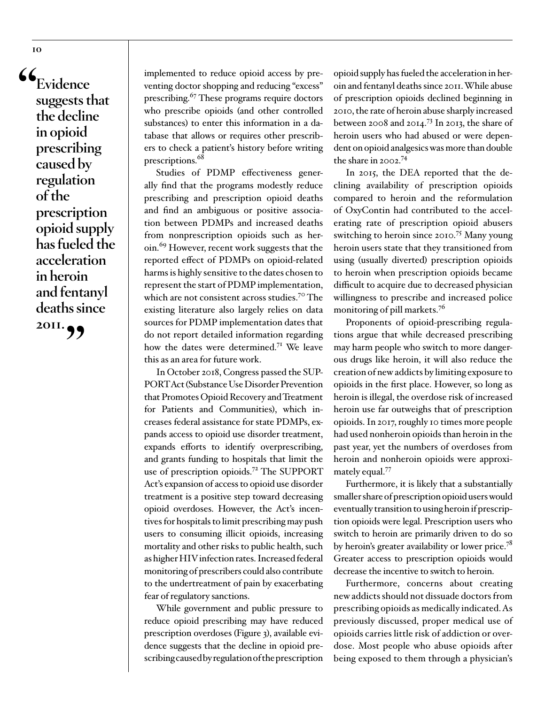**"Evidence suggests that the decline in opioid prescribing caused by regulation of the prescription opioid supply has fueled the acceleration in heroin and fentanyl deaths since** 

**2011."**

implemented to reduce opioid access by preventing doctor shopping and reducing "excess" prescribing.<sup>67</sup> These programs require doctors who prescribe opioids (and other controlled substances) to enter this information in a database that allows or requires other prescribers to check a patient's history before writing prescriptions.<sup>68</sup>

Studies of PDMP effectiveness generally find that the programs modestly reduce prescribing and prescription opioid deaths and find an ambiguous or positive association between PDMPs and increased deaths from nonprescription opioids such as heroin.<sup>69</sup> However, recent work suggests that the reported effect of PDMPs on opioid-related harms is highly sensitive to the dates chosen to represent the start of PDMP implementation, which are not consistent across studies.<sup>70</sup> The existing literature also largely relies on data sources for PDMP implementation dates that do not report detailed information regarding how the dates were determined.<sup>71</sup> We leave this as an area for future work.

In October 2018, Congress passed the SUP-PORT Act (Substance Use Disorder Prevention that Promotes Opioid Recovery and Treatment for Patients and Communities), which increases federal assistance for state PDMPs, expands access to opioid use disorder treatment, expands efforts to identify overprescribing, and grants funding to hospitals that limit the use of prescription opioids.<sup>72</sup> The SUPPORT Act's expansion of access to opioid use disorder treatment is a positive step toward decreasing opioid overdoses. However, the Act's incentives for hospitals to limit prescribing may push users to consuming illicit opioids, increasing mortality and other risks to public health, such as higher HIV infection rates. Increased federal monitoring of prescribers could also contribute to the undertreatment of pain by exacerbating fear of regulatory sanctions.

While government and public pressure to reduce opioid prescribing may have reduced prescription overdoses (Figure 3), available evidence suggests that the decline in opioid prescribing caused by regulation of the prescription

opioid supply has fueled the acceleration in heroin and fentanyl deaths since 2011. While abuse of prescription opioids declined beginning in 2010, the rate of heroin abuse sharply increased between 2008 and 2014.73 In 2013, the share of heroin users who had abused or were dependent on opioid analgesics was more than double the share in 2002.74

In 2015, the DEA reported that the declining availability of prescription opioids compared to heroin and the reformulation of OxyContin had contributed to the accelerating rate of prescription opioid abusers switching to heroin since 2010.<sup>75</sup> Many young heroin users state that they transitioned from using (usually diverted) prescription opioids to heroin when prescription opioids became difficult to acquire due to decreased physician willingness to prescribe and increased police monitoring of pill markets.<sup>76</sup>

Proponents of opioid-prescribing regulations argue that while decreased prescribing may harm people who switch to more dangerous drugs like heroin, it will also reduce the creation of new addicts by limiting exposure to opioids in the first place. However, so long as heroin is illegal, the overdose risk of increased heroin use far outweighs that of prescription opioids. In 2017, roughly 10 times more people had used nonheroin opioids than heroin in the past year, yet the numbers of overdoses from heroin and nonheroin opioids were approximately equal.<sup>77</sup>

Furthermore, it is likely that a substantially smaller share of prescription opioid users would eventually transition to using heroin if prescription opioids were legal. Prescription users who switch to heroin are primarily driven to do so by heroin's greater availability or lower price.<sup>78</sup> Greater access to prescription opioids would decrease the incentive to switch to heroin.

Furthermore, concerns about creating new addicts should not dissuade doctors from prescribing opioids as medically indicated. As previously discussed, proper medical use of opioids carries little risk of addiction or overdose. Most people who abuse opioids after being exposed to them through a physician's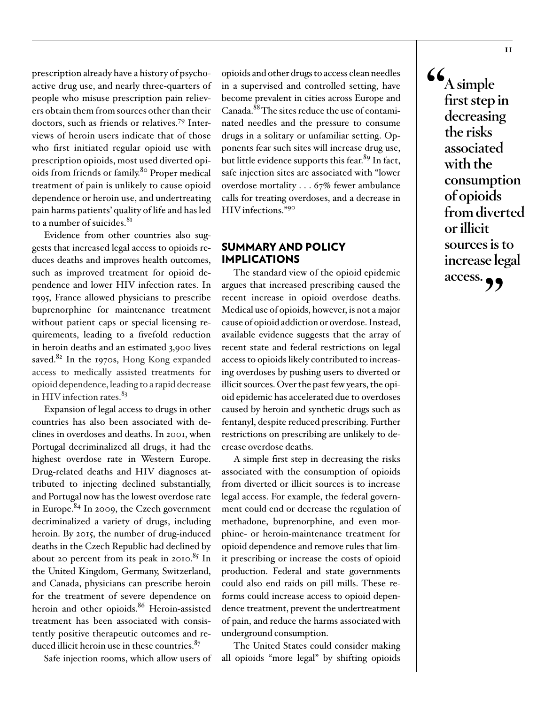prescription already have a history of psychoactive drug use, and nearly three-quarters of people who misuse prescription pain relievers obtain them from sources other than their doctors, such as friends or relatives.79 Interviews of heroin users indicate that of those who first initiated regular opioid use with prescription opioids, most used diverted opioids from friends or family.80 Proper medical treatment of pain is unlikely to cause opioid dependence or heroin use, and undertreating pain harms patients' quality of life and has led to a number of suicides.<sup>81</sup>

Evidence from other countries also suggests that increased legal access to opioids reduces deaths and improves health outcomes, such as improved treatment for opioid dependence and lower HIV infection rates. In 1995, France allowed physicians to prescribe buprenorphine for maintenance treatment without patient caps or special licensing requirements, leading to a fivefold reduction in heroin deaths and an estimated 3,900 lives saved. $82$  In the 1970s, Hong Kong expanded access to medically assisted treatments for opioid dependence, leading to a rapid decrease in HIV infection rates. $83$ 

Expansion of legal access to drugs in other countries has also been associated with declines in overdoses and deaths. In 2001, when Portugal decriminalized all drugs, it had the highest overdose rate in Western Europe. Drug-related deaths and HIV diagnoses attributed to injecting declined substantially, and Portugal now has the lowest overdose rate in Europe.84 In 2009, the Czech government decriminalized a variety of drugs, including heroin. By 2015, the number of drug-induced deaths in the Czech Republic had declined by about 20 percent from its peak in 2010.<sup>85</sup> In the United Kingdom, Germany, Switzerland, and Canada, physicians can prescribe heroin for the treatment of severe dependence on heroin and other opioids.<sup>86</sup> Heroin-assisted treatment has been associated with consistently positive therapeutic outcomes and reduced illicit heroin use in these countries.<sup>87</sup>

Safe injection rooms, which allow users of

opioids and other drugs to access clean needles in a supervised and controlled setting, have become prevalent in cities across Europe and Canada.88 The sites reduce the use of contaminated needles and the pressure to consume drugs in a solitary or unfamiliar setting. Opponents fear such sites will increase drug use, but little evidence supports this fear.<sup>89</sup> In fact, safe injection sites are associated with "lower overdose mortality . . . 67% fewer ambulance calls for treating overdoses, and a decrease in HIV infections."90

#### SUMMARY AND POLICY IMPLICATIONS

The standard view of the opioid epidemic argues that increased prescribing caused the recent increase in opioid overdose deaths. Medical use of opioids, however, is not a major cause of opioid addiction or overdose. Instead, available evidence suggests that the array of recent state and federal restrictions on legal access to opioids likely contributed to increasing overdoses by pushing users to diverted or illicit sources. Over the past few years, the opioid epidemic has accelerated due to overdoses caused by heroin and synthetic drugs such as fentanyl, despite reduced prescribing. Further restrictions on prescribing are unlikely to decrease overdose deaths.

A simple first step in decreasing the risks associated with the consumption of opioids from diverted or illicit sources is to increase legal access. For example, the federal government could end or decrease the regulation of methadone, buprenorphine, and even morphine- or heroin-maintenance treatment for opioid dependence and remove rules that limit prescribing or increase the costs of opioid production. Federal and state governments could also end raids on pill mills. These reforms could increase access to opioid dependence treatment, prevent the undertreatment of pain, and reduce the harms associated with underground consumption.

The United States could consider making all opioids "more legal" by shifting opioids

**"A simple first step in decreasing the risks associated with the consumption of opioids from diverted or illicit sources is to increase legal access."**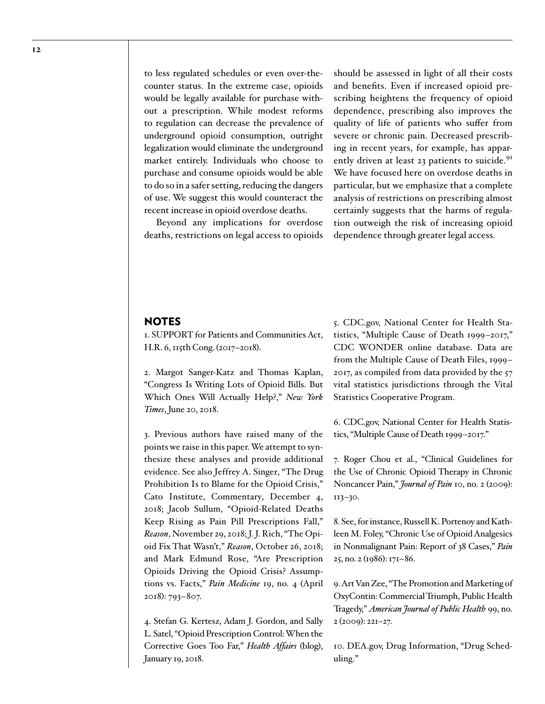to less regulated schedules or even over-thecounter status. In the extreme case, opioids would be legally available for purchase without a prescription. While modest reforms to regulation can decrease the prevalence of underground opioid consumption, outright legalization would eliminate the underground market entirely. Individuals who choose to purchase and consume opioids would be able to do so in a safer setting, reducing the dangers of use. We suggest this would counteract the recent increase in opioid overdose deaths.

Beyond any implications for overdose deaths, restrictions on legal access to opioids

should be assessed in light of all their costs and benefits. Even if increased opioid prescribing heightens the frequency of opioid dependence, prescribing also improves the quality of life of patients who suffer from severe or chronic pain. Decreased prescribing in recent years, for example, has apparently driven at least 23 patients to suicide.<sup>91</sup> We have focused here on overdose deaths in particular, but we emphasize that a complete analysis of restrictions on prescribing almost certainly suggests that the harms of regulation outweigh the risk of increasing opioid dependence through greater legal access.

#### **NOTES**

1. SUPPORT for Patients and Communities Act, H.R. 6, 115th Cong. (2017–2018).

2. Margot Sanger-Katz and Thomas Kaplan, "Congress Is Writing Lots of Opioid Bills. But Which Ones Will Actually Help?," *New York Times*, June 20, 2018.

3. Previous authors have raised many of the points we raise in this paper. We attempt to synthesize these analyses and provide additional evidence. See also [Jeffrey A. Singer, "The Drug](https://www.cato.org/publications/commentary/drug-prohibition-blame-opioid-crisis) [Prohibition Is to Blame for the Opioid Crisis,"](https://www.cato.org/publications/commentary/drug-prohibition-blame-opioid-crisis) [Cato Institute, Commentary, December 4,](https://www.cato.org/publications/commentary/drug-prohibition-blame-opioid-crisis) [2018](https://www.cato.org/publications/commentary/drug-prohibition-blame-opioid-crisis); Jacob Sullum, "Opioid-Related Deaths Keep Rising as Pain Pill Prescriptions Fall," *Reason*, November 29, 2018; J. J. Rich, "The Opioid Fix That Wasn't," *Reason*, October 26, 2018; and Mark Edmund Rose, "Are Prescription Opioids Driving the Opioid Crisis? Assumptions vs. Facts," *Pain Medicine* 19, no. 4 (April 2018): 793–807.

4. Stefan G. Kertesz, Adam J. Gordon, and Sally L. Satel, "Opioid Prescription Control: When the Corrective Goes Too Far," *Health Affairs* (blog), January 19, 2018.

5. CDC.gov, National Center for Health Statistics, "Multiple Cause of Death 1999–2017," CDC WONDER online database. Data are from the Multiple Cause of Death Files, 1999– 2017, as compiled from data provided by the 57 vital statistics jurisdictions through the Vital Statistics Cooperative Program.

6. CDC.gov, National Center for Health Statistics, "Multiple Cause of Death 1999–2017."

7. Roger Chou et al., "Clinical Guidelines for the Use of Chronic Opioid Therapy in Chronic Noncancer Pain," *Journal of Pain* 10, no. 2 (2009): 113–30.

8. See, for instance, Russell K. Portenoy and Kathleen M. Foley, "Chronic Use of Opioid Analgesics in Nonmalignant Pain: Report of 38 Cases," *Pain* 25, no. 2 (1986): 171–86.

9. Art Van Zee, "The Promotion and Marketing of OxyContin: Commercial Triumph, Public Health Tragedy," *American Journal of Public Health* 99, no. 2 (2009): 221–27.

10. DEA.gov, Drug Information, "Drug Scheduling."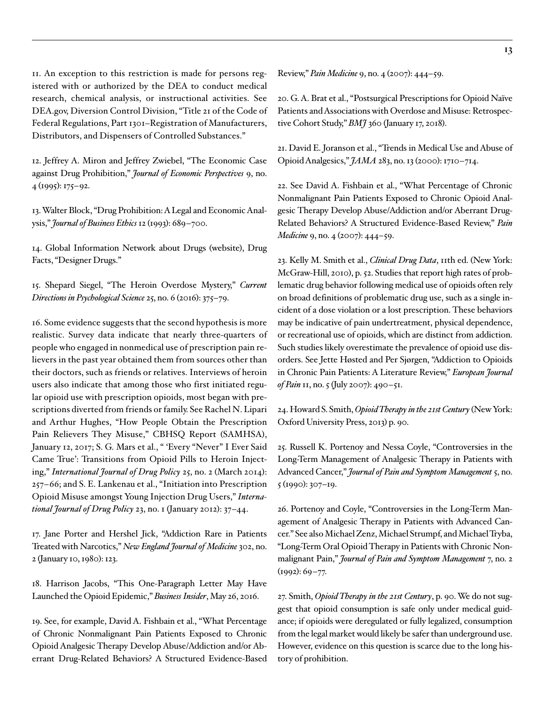11. An exception to this restriction is made for persons registered with or authorized by the DEA to conduct medical research, chemical analysis, or instructional activities. See DEA.gov, Diversion Control Division, "Title 21 of the Code of Federal Regulations, Part 1301–Registration of Manufacturers, Distributors, and Dispensers of Controlled Substances."

12. Jeffrey A. Miron and Jeffrey Zwiebel, "The Economic Case against Drug Prohibition," *Journal of Economic Perspectives* 9, no. 4 (1995): 175–92.

13. Walter Block, "Drug Prohibition: A Legal and Economic Analysis," *Journal of Business Ethics* 12 (1993): 689–700.

14. Global Information Network about Drugs (website), Drug Facts, "Designer Drugs."

15. Shepard Siegel, "The Heroin Overdose Mystery," *Current Directions in Psychological Science* 25, no. 6 (2016): 375–79.

16. Some evidence suggests that the second hypothesis is more realistic. Survey data indicate that nearly three-quarters of people who engaged in nonmedical use of prescription pain relievers in the past year obtained them from sources other than their doctors, such as friends or relatives. Interviews of heroin users also indicate that among those who first initiated regular opioid use with prescription opioids, most began with prescriptions diverted from friends or family. See Rachel N. Lipari and Arthur Hughes, "How People Obtain the Prescription Pain Relievers They Misuse," CBHSQ Report (SAMHSA), January 12, 2017; S. G. Mars et al., " 'Every "Never" I Ever Said Came True': Transitions from Opioid Pills to Heroin Injecting," *International Journal of Drug Policy* 25, no. 2 (March 2014): 257–66; and S. E. Lankenau et al., "Initiation into Prescription Opioid Misuse amongst Young Injection Drug Users," *International Journal of Drug Policy* 23, no. 1 (January 2012): 37–44.

17. Jane Porter and Hershel Jick, "Addiction Rare in Patients Treated with Narcotics," *New England Journal of Medicine* 302, no. 2 (January 10, 1980): 123.

18. Harrison Jacobs, "This One-Paragraph Letter May Have Launched the Opioid Epidemic," *Business Insider*, May 26, 2016.

19. See, for example, David A. Fishbain et al., "What Percentage of Chronic Nonmalignant Pain Patients Exposed to Chronic Opioid Analgesic Therapy Develop Abuse/Addiction and/or Aberrant Drug-Related Behaviors? A Structured Evidence-Based

Review," *Pain Medicine* 9, no. 4 (2007): 444–59.

20. G. A. Brat et al., "Postsurgical Prescriptions for Opioid Naïve Patients and Associations with Overdose and Misuse: Retrospective Cohort Study," *BMJ* 360 (January 17, 2018).

21. David E. Joranson et al., "Trends in Medical Use and Abuse of Opioid Analgesics," *JAMA* 283, no. 13 (2000): 1710–714.

22. See David A. Fishbain et al., "What Percentage of Chronic Nonmalignant Pain Patients Exposed to Chronic Opioid Analgesic Therapy Develop Abuse/Addiction and/or Aberrant Drug-Related Behaviors? A Structured Evidence-Based Review," *Pain Medicine* 9, no. 4 (2007): 444–59.

23. Kelly M. Smith et al., *Clinical Drug Data*, 11th ed. (New York: McGraw-Hill, 2010), p. 52. Studies that report high rates of problematic drug behavior following medical use of opioids often rely on broad definitions of problematic drug use, such as a single incident of a dose violation or a lost prescription. These behaviors may be indicative of pain undertreatment, physical dependence, or recreational use of opioids, which are distinct from addiction. Such studies likely overestimate the prevalence of opioid use disorders. See Jette Høsted and Per Sjørgen, "Addiction to Opioids in Chronic Pain Patients: A Literature Review," *European Journal of Pain* 11, no. 5 (July 2007): 490–51.

24. Howard S. Smith, *Opioid Therapy in the 21st Century* (New York: Oxford University Press, 2013) p. 90.

25. Russell K. Portenoy and Nessa Coyle, "Controversies in the Long-Term Management of Analgesic Therapy in Patients with Advanced Cancer," *Journal of Pain and Symptom Management* 5, no. 5 (1990): 307–19.

26. Portenoy and Coyle, "Controversies in the Long-Term Management of Analgesic Therapy in Patients with Advanced Cancer." See also Michael Zenz, Michael Strumpf, and Michael Tryba, "Long-Term Oral Opioid Therapy in Patients with Chronic Nonmalignant Pain," *Journal of Pain and Symptom Management* 7, no. 2 (1992): 69–77.

27. Smith, *Opioid Therapy in the 21st Century*, p. 90. We do not suggest that opioid consumption is safe only under medical guidance; if opioids were deregulated or fully legalized, consumption from the legal market would likely be safer than underground use. However, evidence on this question is scarce due to the long history of prohibition.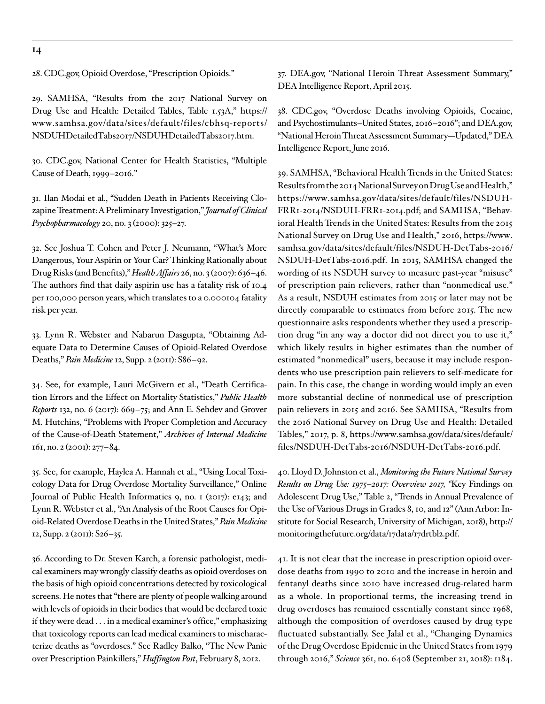**14**

28. CDC.gov, Opioid Overdose, "Prescription Opioids."

29. SAMHSA, "Results from the 2017 National Survey on Drug Use and Health: Detailed Tables, Table 1.53A," [https://](https://www.samhsa.gov/data/sites/default/files/cbhsq-reports/NSDUHDetailedTabs2017/NSDUHDetailedTabs2017.htm) [www.samhsa.gov/data/sites/default/files/cbhsq-reports/](https://www.samhsa.gov/data/sites/default/files/cbhsq-reports/NSDUHDetailedTabs2017/NSDUHDetailedTabs2017.htm) [NSDUHDetailedTabs2017/NSDUHDetailedTabs2017.htm](https://www.samhsa.gov/data/sites/default/files/cbhsq-reports/NSDUHDetailedTabs2017/NSDUHDetailedTabs2017.htm).

30. CDC.gov, National Center for Health Statistics, "Multiple Cause of Death, 1999–2016."

31. Ilan Modai et al., "Sudden Death in Patients Receiving Clozapine Treatment: A Preliminary Investigation," *Journal of Clinical Psychopharmacology* 20, no. 3 (2000): 325–27.

32. See Joshua T. Cohen and Peter J. Neumann, "What's More Dangerous, Your Aspirin or Your Car? Thinking Rationally about Drug Risks (and Benefits)," *Health Affairs* 26, no. 3 (2007): 636–46. The authors find that daily aspirin use has a fatality risk of 10.4 per 100,000 person years, which translates to a 0.000104 fatality risk per year.

33. Lynn R. Webster and Nabarun Dasgupta, "Obtaining Adequate Data to Determine Causes of Opioid-Related Overdose Deaths," *Pain Medicine* 12, Supp. 2 (2011): S86–92.

34. See, for example, Lauri McGivern et al., "Death Certification Errors and the Effect on Mortality Statistics," *Public Health Reports* 132, no. 6 (2017): 669–75; and Ann E. Sehdev and Grover M. Hutchins, "Problems with Proper Completion and Accuracy of the Cause-of-Death Statement," *Archives of Internal Medicine* 161, no. 2 (2001): 277–84.

35. See, for example, Haylea A. Hannah et al., "Using Local Toxicology Data for Drug Overdose Mortality Surveillance," Online Journal of Public Health Informatics 9, no. 1 (2017): e143; and Lynn R. Webster et al., "An Analysis of the Root Causes for Opioid-Related Overdose Deaths in the United States," *Pain Medicine* 12, Supp. 2 (2011): S26–35.

36. According to Dr. Steven Karch, a forensic pathologist, medical examiners may wrongly classify deaths as opioid overdoses on the basis of high opioid concentrations detected by toxicological screens. He notes that "there are plenty of people walking around with levels of opioids in their bodies that would be declared toxic if they were dead . . . in a medical examiner's office," emphasizing that toxicology reports can lead medical examiners to mischaracterize deaths as "overdoses." See Radley Balko, "The New Panic over Prescription Painkillers," *Huffington Post*, February 8, 2012.

37. DEA.gov, "National Heroin Threat Assessment Summary," DEA Intelligence Report, April 2015.

38. CDC.gov, "Overdose Deaths involving Opioids, Cocaine, and Psychostimulants–United States, 2016–2016"; and DEA.gov, "National Heroin Threat Assessment Summary—Updated," DEA Intelligence Report, June 2016.

39. SAMHSA, "Behavioral Health Trends in the United States: Results from the 2014 National Survey on Drug Use and Health," [https://www.samhsa.gov/data/sites/default/files/NSDUH-](https://www.samhsa.gov/data/sites/default/files/NSDUH-FRR1-2014/NSDUH-FRR1-2014.pdf)[FRR1-2014/NSDUH-FRR1-2014.pdf;](https://www.samhsa.gov/data/sites/default/files/NSDUH-FRR1-2014/NSDUH-FRR1-2014.pdf) and SAMHSA, "Behavioral Health Trends in the United States: Results from the 2015 National Survey on Drug Use and Health," 2016, [https://www.](https://www.samhsa.gov/data/sites/default/files/NSDUH-DetTabs-2016/NSDUH-DetTabs-2016.pdf) [samhsa.gov/data/sites/default/files/NSDUH-DetTabs-2016/](https://www.samhsa.gov/data/sites/default/files/NSDUH-DetTabs-2016/NSDUH-DetTabs-2016.pdf) [NSDUH-DetTabs-2016.pdf.](https://www.samhsa.gov/data/sites/default/files/NSDUH-DetTabs-2016/NSDUH-DetTabs-2016.pdf) In 2015, SAMHSA changed the wording of its NSDUH survey to measure past-year "misuse" of prescription pain relievers, rather than "nonmedical use." As a result, NSDUH estimates from 2015 or later may not be directly comparable to estimates from before 2015. The new questionnaire asks respondents whether they used a prescription drug "in any way a doctor did not direct you to use it," which likely results in higher estimates than the number of estimated "nonmedical" users, because it may include respondents who use prescription pain relievers to self-medicate for pain. In this case, the change in wording would imply an even more substantial decline of nonmedical use of prescription pain relievers in 2015 and 2016. See SAMHSA, "Results from the 2016 National Survey on Drug Use and Health: Detailed Tables," 2017, p. 8, [https://www.samhsa.gov/data/sites/default/](https://www.samhsa.gov/data/sites/default/files/NSDUH-DetTabs-2016/NSDUH-DetTabs-2016.pdf) [files/NSDUH-DetTabs-2016/NSDUH-DetTabs-2016.pdf](https://www.samhsa.gov/data/sites/default/files/NSDUH-DetTabs-2016/NSDUH-DetTabs-2016.pdf).

40. Lloyd D. Johnston et al., *Monitoring the Future National Survey Results on Drug Use: 1975–2017: Overview 2017, "*Key Findings on Adolescent Drug Use," Table 2, "Trends in Annual Prevalence of the Use of Various Drugs in Grades 8, 10, and 12" (Ann Arbor: Institute for Social Research, University of Michigan, 2018), [http://](http://monitoringthefuture.org/data/17data/17drtbl2.pdf) [monitoringthefuture.org/data/17data/17drtbl2.pdf](http://monitoringthefuture.org/data/17data/17drtbl2.pdf).

41. It is not clear that the increase in prescription opioid overdose deaths from 1990 to 2010 and the increase in heroin and fentanyl deaths since 2010 have increased drug-related harm as a whole. In proportional terms, the increasing trend in drug overdoses has remained essentially constant since 1968, although the composition of overdoses caused by drug type fluctuated substantially. See Jalal et al., "Changing Dynamics of the Drug Overdose Epidemic in the United States from 1979 through 2016," *Science* 361, no. 6408 (September 21, 2018): 1184.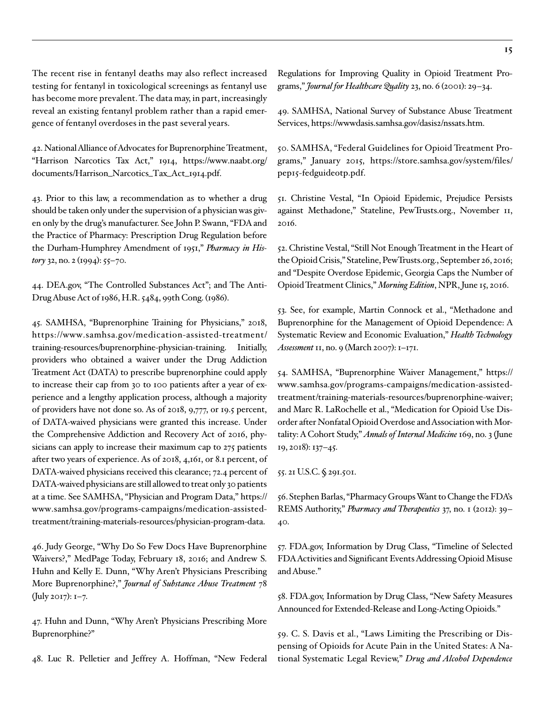The recent rise in fentanyl deaths may also reflect increased testing for fentanyl in toxicological screenings as fentanyl use has become more prevalent. The data may, in part, increasingly reveal an existing fentanyl problem rather than a rapid emergence of fentanyl overdoses in the past several years.

42. National Alliance of Advocates for Buprenorphine Treatment, "Harrison Narcotics Tax Act," 1914, [https://www.naabt.org/](https://www.naabt.org/documents/Harrison_Narcotics_Tax_Act_1914.pdf) [documents/Harrison\\_Narcotics\\_Tax\\_Act\\_1914.pdf.](https://www.naabt.org/documents/Harrison_Narcotics_Tax_Act_1914.pdf)

43. Prior to this law, a recommendation as to whether a drug should be taken only under the supervision of a physician was given only by the drug's manufacturer. See John P. Swann, "FDA and the Practice of Pharmacy: Prescription Drug Regulation before the Durham-Humphrey Amendment of 1951," *Pharmacy in History* 32, no. 2 (1994): 55–70.

44. DEA.gov, "The Controlled Substances Act"; and The Anti-Drug Abuse Act of 1986, H.R. 5484, 99th Cong. (1986).

45. SAMHSA, "Buprenorphine Training for Physicians," 2018, [https://www.samhsa.gov/medication-assisted-treatment/](https://www.samhsa.gov/medication-assisted-treatment/training-resources/buprenorphine-physician-training) [training-resources/buprenorphine-physician-training](https://www.samhsa.gov/medication-assisted-treatment/training-resources/buprenorphine-physician-training). Initially, providers who obtained a waiver under the Drug Addiction Treatment Act (DATA) to prescribe buprenorphine could apply to increase their cap from 30 to 100 patients after a year of experience and a lengthy application process, although a majority of providers have not done so. As of 2018, 9,777, or 19.5 percent, of DATA-waived physicians were granted this increase. Under the Comprehensive Addiction and Recovery Act of 2016, physicians can apply to increase their maximum cap to 275 patients after two years of experience. As of 2018, 4,161, or 8.1 percent, of DATA-waived physicians received this clearance; 72.4 percent of DATA-waived physicians are still allowed to treat only 30 patients at a time. See SAMHSA, "Physician and Program Data," [https://](https://www.samhsa.gov/programs-campaigns/medication-assisted-treatment/training-materials-resources/physician-program-data) [www.samhsa.gov/programs-campaigns/medication-assisted](https://www.samhsa.gov/programs-campaigns/medication-assisted-treatment/training-materials-resources/physician-program-data)[treatment/training-materials-resources/physician-program-data.](https://www.samhsa.gov/programs-campaigns/medication-assisted-treatment/training-materials-resources/physician-program-data)

46. Judy George, "Why Do So Few Docs Have Buprenorphine Waivers?," MedPage Today, February 18, 2016; and Andrew S. Huhn and Kelly E. Dunn, "Why Aren't Physicians Prescribing More Buprenorphine?," *Journal of Substance Abuse Treatment* 78 (July 2017): 1–7.

47. Huhn and Dunn, "Why Aren't Physicians Prescribing More Buprenorphine?"

48. Luc R. Pelletier and Jeffrey A. Hoffman, "New Federal

Regulations for Improving Quality in Opioid Treatment Programs," *Journal for Healthcare Quality* 23, no. 6 (2001): 29–34.

49. SAMHSA, National Survey of Substance Abuse Treatment Services, <https://wwwdasis.samhsa.gov/dasis2/nssats.htm>.

50. SAMHSA, "Federal Guidelines for Opioid Treatment Programs," January 2015, [https://store.samhsa.gov/system/files/](https://store.samhsa.gov/system/files/pep15-fedguideotp.pdf) [pep15-fedguideotp.pdf](https://store.samhsa.gov/system/files/pep15-fedguideotp.pdf).

51. Christine Vestal, "In Opioid Epidemic, Prejudice Persists against Methadone," Stateline, PewTrusts.org., November 11, 2016.

52. Christine Vestal, "Still Not Enough Treatment in the Heart of the Opioid Crisis," Stateline, PewTrusts.org., September 26, 2016; and "Despite Overdose Epidemic, Georgia Caps the Number of Opioid Treatment Clinics," *Morning Edition*, NPR, June 15, 2016.

53. See, for example, Martin Connock et al., "Methadone and Buprenorphine for the Management of Opioid Dependence: A Systematic Review and Economic Evaluation," *Health Technology Assessment* 11, no. 9 (March 2007): 1–171.

54. SAMHSA, "Buprenorphine Waiver Management," [https://](https://www.samhsa.gov/programs-campaigns/medication-assisted-treatment/training-materials-resources/buprenorphine-waiver) [www.samhsa.gov/programs-campaigns/medication-assisted](https://www.samhsa.gov/programs-campaigns/medication-assisted-treatment/training-materials-resources/buprenorphine-waiver)[treatment/training-materials-resources/buprenorphine-waiver;](https://www.samhsa.gov/programs-campaigns/medication-assisted-treatment/training-materials-resources/buprenorphine-waiver) and Marc R. LaRochelle et al., "Medication for Opioid Use Disorder after Nonfatal Opioid Overdose and Association with Mortality: A Cohort Study," *Annals of Internal Medicine* 169, no. 3 (June 19, 2018): 137–45.

55. 21 U.S.C. § 291.501.

56. Stephen Barlas, "Pharmacy Groups Want to Change the FDA's REMS Authority," *Pharmacy and Therapeutics* 37, no. 1 (2012): 39– 40.

57. FDA.gov, Information by Drug Class, "Timeline of Selected FDA Activities and Significant Events Addressing Opioid Misuse and Abuse."

58. FDA.gov, Information by Drug Class, "New Safety Measures Announced for Extended-Release and Long-Acting Opioids."

59. C. S. Davis et al., "Laws Limiting the Prescribing or Dispensing of Opioids for Acute Pain in the United States: A National Systematic Legal Review," *[Drug and Alcohol Depend](https://www.ncbi.nlm.nih.gov/pubmed/30445274)ence*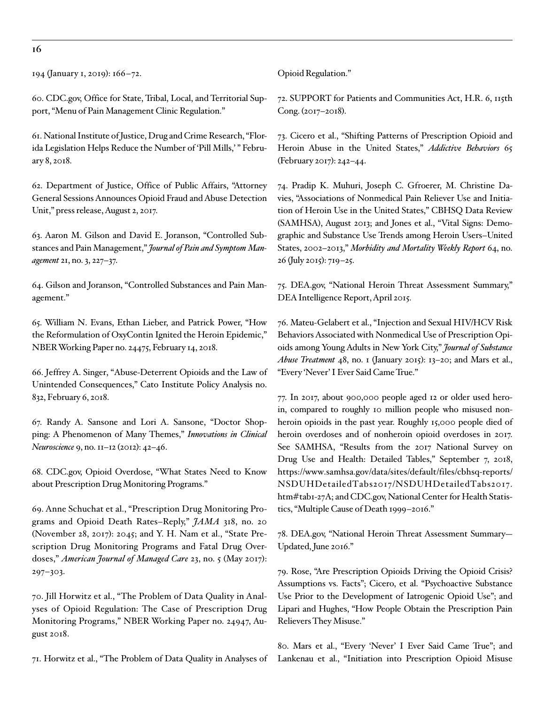**16**

194 (January 1, 2019): 166–72.

60. CDC.gov, Office for State, Tribal, Local, and Territorial Support, "Menu of Pain Management Clinic Regulation."

61. National Institute of Justice, Drug and Crime Research, "Florida Legislation Helps Reduce the Number of 'Pill Mills,'" February 8, 2018.

62. Department of Justice, Office of Public Affairs, "Attorney General Sessions Announces Opioid Fraud and Abuse Detection Unit," press release, August 2, 2017.

63. Aaron M. Gilson and David E. Joranson, "Controlled Substances and Pain Management," *Journal of Pain and Symptom Management* 21, no. 3, 227–37.

64. Gilson and Joranson, "Controlled Substances and Pain Management."

65. William N. Evans, Ethan Lieber, and Patrick Power, "How the Reformulation of OxyContin Ignited the Heroin Epidemic," NBER Working Paper no. 24475, February 14, 2018.

66. [Jeffrey A. Singer, "Abuse-Deterrent Opioids and the Law of](https://www.cato.org/publications/policy-analysis/abuse-deterrent-opioids-law-unintended-consequences)  [Unintended Consequences," Cato Institute Policy Analysis no.](https://www.cato.org/publications/policy-analysis/abuse-deterrent-opioids-law-unintended-consequences) [832, February 6, 2018](https://www.cato.org/publications/policy-analysis/abuse-deterrent-opioids-law-unintended-consequences).

67. Randy A. Sansone and Lori A. Sansone, "Doctor Shopping: A Phenomenon of Many Themes," *Innovations in Clinical Neuroscience* 9, no. 11–12 (2012): 42–46.

68. CDC.gov, Opioid Overdose, "What States Need to Know about Prescription Drug Monitoring Programs."

69. Anne Schuchat et al., "Prescription Drug Monitoring Programs and Opioid Death Rates–Reply," *JAMA* 318, no. 20 (November 28, 2017): 2045; and Y. H. Nam et al., "State Prescription Drug Monitoring Programs and Fatal Drug Overdoses," *[American Journal of Managed Care](https://www.ncbi.nlm.nih.gov/pubmed/28738683)* 23, no. 5 (May 2017): 297–303.

70. Jill Horwitz et al., "The Problem of Data Quality in Analyses of Opioid Regulation: The Case of Prescription Drug Monitoring Programs," NBER Working Paper no. 24947, August 2018.

71. Horwitz et al., "The Problem of Data Quality in Analyses of

Opioid Regulation."

72. SUPPORT for Patients and Communities Act, H.R. 6, 115th Cong. (2017–2018).

73. Cicero et al., "Shifting Patterns of Prescription Opioid and Heroin Abuse in the United States," *Addictive Behaviors* 65 (February 2017): 242–44.

74. Pradip K. Muhuri, Joseph C. Gfroerer, M. Christine Davies, "Associations of Nonmedical Pain Reliever Use and Initiation of Heroin Use in the United States," CBHSQ Data Review (SAMHSA), August 2013; and Jones et al., "Vital Signs: Demographic and Substance Use Trends among Heroin Users–United States, 2002–2013," *Morbidity and Mortality Weekly Report* 64, no. 26 (July 2015): 719–25.

75. DEA.gov, "National Heroin Threat Assessment Summary," DEA Intelligence Report, April 2015.

76. Mateu-Gelabert et al., "Injection and Sexual HIV/HCV Risk Behaviors Associated with Nonmedical Use of Prescription Opioids among Young Adults in New York City," *Journal of Substance Abuse Treatment* 48, no. 1 (January 2015): 13–20; and Mars et al., "Every 'Never' I Ever Said Came True."

77. In 2017, about 900,000 people aged 12 or older used heroin, compared to roughly 10 million people who misused nonheroin opioids in the past year. Roughly 15,000 people died of heroin overdoses and of nonheroin opioid overdoses in 2017. See SAMHSA, "Results from the 2017 National Survey on Drug Use and Health: Detailed Tables," September 7, 2018, [https://www.samhsa.gov/data/sites/default/files/cbhsq-reports/](https://www.samhsa.gov/data/sites/default/files/cbhsq-reports/NSDUHDetailedTabs2017/NSDUHDetailedTabs2017.htm#tab1-27A) [NSDUHDetailedTabs2017/NSDUHDetailedTabs2017.](https://www.samhsa.gov/data/sites/default/files/cbhsq-reports/NSDUHDetailedTabs2017/NSDUHDetailedTabs2017.htm#tab1-27A) [htm#tab1-27A](https://www.samhsa.gov/data/sites/default/files/cbhsq-reports/NSDUHDetailedTabs2017/NSDUHDetailedTabs2017.htm#tab1-27A); and CDC.gov, National Center for Health Statistics, "Multiple Cause of Death 1999–2016."

78. DEA.gov, "National Heroin Threat Assessment Summary— Updated, June 2016."

79. Rose, "Are Prescription Opioids Driving the Opioid Crisis? Assumptions vs. Facts"; Cicero, et al. "Psychoactive Substance Use Prior to the Development of Iatrogenic Opioid Use"; and Lipari and Hughes, "How People Obtain the Prescription Pain Relievers They Misuse."

80. Mars et al., "Every 'Never' I Ever Said Came True"; and Lankenau et al., "Initiation into Prescription Opioid Misuse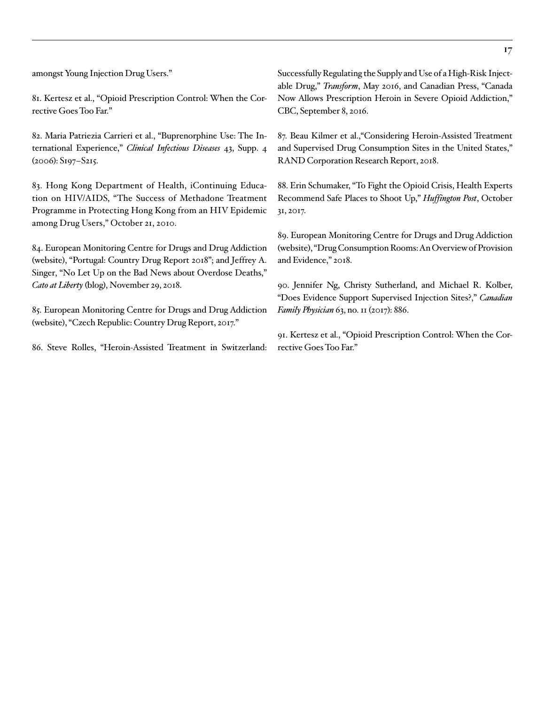amongst Young Injection Drug Users."

81. Kertesz et al., "Opioid Prescription Control: When the Corrective Goes Too Far."

82. Maria Patriezia Carrieri et al., "Buprenorphine Use: The International Experience," *Clinical Infectious Diseases* 43, Supp. 4 (2006): S197–S215.

83. Hong Kong Department of Health, iContinuing Education on HIV/AIDS, "The Success of Methadone Treatment Programme in Protecting Hong Kong from an HIV Epidemic among Drug Users," October 21, 2010.

84. European Monitoring Centre for Drugs and Drug Addiction (website), "Portugal: Country Drug Report 2018"; and [Jeffrey A.](https://www.cato.org/blog/no-let-bad-news-about-overdose-deaths)  [Singer, "No Let Up on the Bad News about Overdose Deaths,"](https://www.cato.org/blog/no-let-bad-news-about-overdose-deaths) *Cato at Liberty* [\(blog\), November 29, 2018.](https://www.cato.org/blog/no-let-bad-news-about-overdose-deaths)

85. European Monitoring Centre for Drugs and Drug Addiction (website), "Czech Republic: Country Drug Report, 2017."

86. Steve Rolles, "Heroin-Assisted Treatment in Switzerland:

Successfully Regulating the Supply and Use of a High-Risk Injectable Drug," *Transform*, May 2016, and Canadian Press, "Canada Now Allows Prescription Heroin in Severe Opioid Addiction," CBC, September 8, 2016.

87. Beau Kilmer et al.,"Considering Heroin-Assisted Treatment and Supervised Drug Consumption Sites in the United States," RAND Corporation Research Report, 2018.

88. Erin Schumaker, "To Fight the Opioid Crisis, Health Experts Recommend Safe Places to Shoot Up," *Huffington Post*, October 31, 2017.

89. European Monitoring Centre for Drugs and Drug Addiction (website), "Drug Consumption Rooms: An Overview of Provision and Evidence," 2018.

90. Jennifer Ng, Christy Sutherland, and Michael R. Kolber, "Does Evidence Support Supervised Injection Sites?," *Canadian Family Physician* 63, no. 11 (2017): 886.

91. Kertesz et al., "Opioid Prescription Control: When the Corrective Goes Too Far."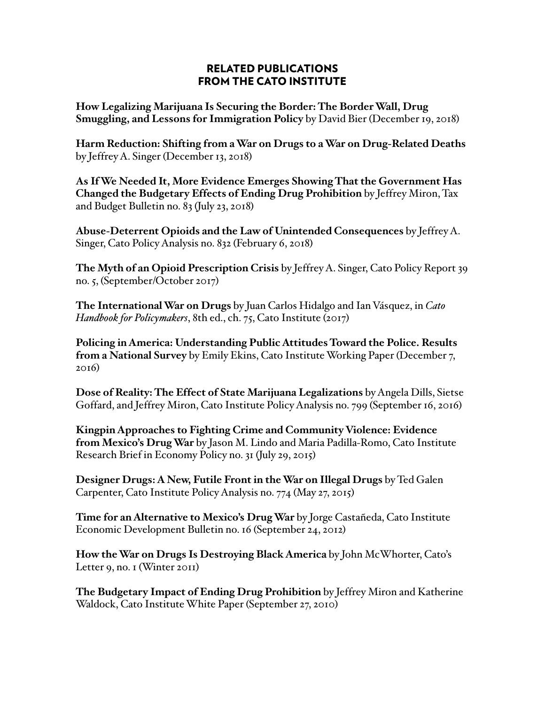#### RELATED PUBLICATIONS FROM THE CATO INSTITUTE

**How Legalizing Marijuana Is Securing the Border: The Border Wall, Drug Smuggling, and Lessons for Immigration Policy** by David Bier (December 19, 2018)

**Harm Reduction: Shifting from a War on Drugs to a War on Drug-Related Deaths** by Jeffrey A. Singer (December 13, 2018)

**As If We Needed It, More Evidence Emerges Showing That the Government Has Changed the Budgetary Effects of Ending Drug Prohibition** by Jeffrey Miron, Tax and Budget Bulletin no. 83 (July 23, 2018)

**Abuse-Deterrent Opioids and the Law of Unintended Consequences** by Jeffrey A. Singer, Cato Policy Analysis no. 832 (February 6, 2018)

**The Myth of an Opioid Prescription Crisis** by Jeffrey A. Singer, Cato Policy Report 39 no. 5, (September/October 2017)

**The International War on Drugs** by Juan Carlos Hidalgo and Ian Vásquez, in *Cato Handbook for Policymakers*, 8th ed., ch. 75, Cato Institute (2017)

**Policing in America: Understanding Public Attitudes Toward the Police. Results from a National Survey** by Emily Ekins, Cato Institute Working Paper (December 7, 2016)

**Dose of Reality: The Effect of State Marijuana Legalizations** by Angela Dills, Sietse Goffard, and Jeffrey Miron, Cato Institute Policy Analysis no. 799 (September 16, 2016)

**Kingpin Approaches to Fighting Crime and Community Violence: Evidence from Mexico's Drug War** by Jason M. Lindo and Maria Padilla-Romo, Cato Institute Research Brief in Economy Policy no. 31 (July 29, 2015)

**Designer Drugs: A New, Futile Front in the War on Illegal Drugs** by Ted Galen Carpenter, Cato Institute Policy Analysis no. 774 (May 27, 2015)

**Time for an Alternative to Mexico's Drug War** by Jorge Castañeda, Cato Institute Economic Development Bulletin no. 16 (September 24, 2012)

**How the War on Drugs Is Destroying Black America** by John McWhorter, Cato's Letter 9, no. 1 (Winter 2011)

**The Budgetary Impact of Ending Drug Prohibition** by Jeffrey Miron and Katherine Waldock, Cato Institute White Paper (September 27, 2010)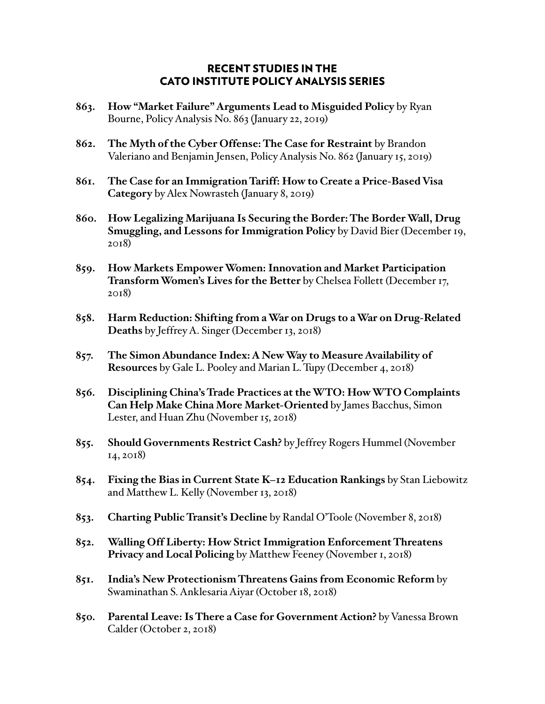#### RECENT STUDIES IN THE CATO INSTITUTE POLICY ANALYSIS SERIES

- **863. How "Market Failure" Arguments Lead to Misguided Policy** by Ryan Bourne, Policy Analysis No. 863 (January 22, 2019)
- **862. The Myth of the Cyber Offense: The Case for Restraint** by Brandon Valeriano and Benjamin Jensen, Policy Analysis No. 862 (January 15, 2019)
- **861. The Case for an Immigration Tariff: How to Create a Price-Based Visa Category** by Alex Nowrasteh (January 8, 2019)
- **860. How Legalizing Marijuana Is Securing the Border: The Border Wall, Drug Smuggling, and Lessons for Immigration Policy** by David Bier (December 19, 2018)
- **859. How Markets Empower Women: Innovation and Market Participation Transform Women's Lives for the Better** by Chelsea Follett (December 17, 2018)
- **858. Harm Reduction: Shifting from a War on Drugs to a War on Drug-Related Deaths** by Jeffrey A. Singer (December 13, 2018)
- **857. The Simon Abundance Index: A New Way to Measure Availability of Resources** by Gale L. Pooley and Marian L. Tupy (December 4, 2018)
- **856. Disciplining China's Trade Practices at the WTO: How WTO Complaints Can Help Make China More Market-Oriented** by James Bacchus, Simon Lester, and Huan Zhu (November 15, 2018)
- **855. Should Governments Restrict Cash?** by Jeffrey Rogers Hummel (November 14, 2018)
- **854. Fixing the Bias in Current State K–12 Education Rankings** by Stan Liebowitz and Matthew L. Kelly (November 13, 2018)
- **853. Charting Public Transit's Decline** by Randal O'Toole (November 8, 2018)
- **852. Walling Off Liberty: How Strict Immigration Enforcement Threatens Privacy and Local Policing** by Matthew Feeney (November 1, 2018)
- **851. India's New Protectionism Threatens Gains from Economic Reform** by Swaminathan S. Anklesaria Aiyar (October 18, 2018)
- **850. Parental Leave: Is There a Case for Government Action?** by Vanessa Brown Calder (October 2, 2018)